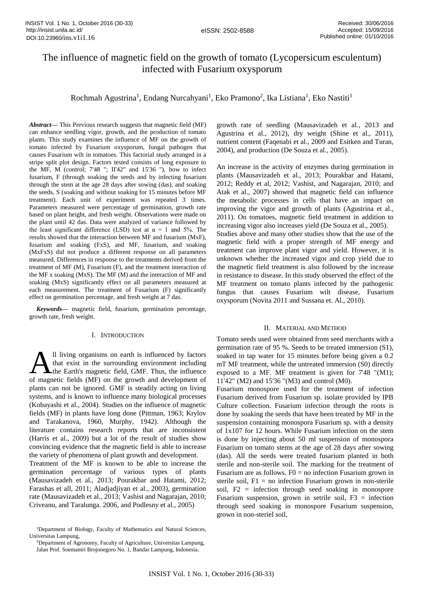# The influence of magnetic field on the growth of tomato (Lycopersicum esculentum) infected with Fusarium oxysporum

Rochmah Agustrina<sup>1</sup>, Endang Nurcahyani<sup>1</sup>, Eko Pramono<sup>2</sup>, Ika Listiana<sup>1</sup>, Eko Nastiti<sup>1</sup>

*Abstract—* This Previous research suggests that magnetic field (MF) can enhance seedling vigor, growth, and the production of tomato plants. This study examines the influence of MF on the growth of tomato infected by Fusarium oxysporum, fungal pathogen that causes Fusarium wilt in tomatoes. This factorial study arranged in a stripe split plot design. Factors tested consists of long exposure to the MF, M (control; 7'48 "; II'42" and 15'36 "), how to infect fusarium, F (through soaking the seeds and by infecting fusarium through the stem at the age 28 days after sowing (das), and soaking the seeds, S (soaking and without soaking for 15 minutes before MF treatment). Each unit of experiment was repeated 3 times. Parameters measured were percentage of germination, growth rate based on plant height, and fresh weight. Observations were made on the plant until 42 das. Data were analyzed of variance followed by the least significant difference (LSD) test at  $\alpha = 1$  and 5%. The results showed that the interaction between MF and fusarium (MxF), fusarium and soaking (FxS), and MF, fusarium, and soaking (MxFxS) did not produce a different response on all parameters measured. Differences in response to the treatments derived from the treatment of MF (M), Fusarium (F), and the treatment interaction of the MF x soaking (MxS). The MF (M) and the interaction of MF and soaking (MxS) significantly effect on all parameters measured at each measurement. The treatment of Fusarium (F) significantly effect on germination percentage, and fresh weight at 7 das.

*Keywords***—** magnetic field, fusarium, germination percentage, growth rate, fresh weight.

# I. INTRODUCTION

ll living organisms on earth is influenced by factors that exist in the surrounding environment including the Earth's magnetic field, GMF. Thus, the influence Il living organisms on earth is influenced by factors<br>that exist in the surrounding environment including<br>of magnetic fields (MF) on the growth and development of plants can not be ignored. GMF is steadily acting on living systems, and is known to influence many biological processes (Kobayashi et al., 2004). Studies on the influence of magnetic fields (MF) in plants have long done (Pittman, 1963; Krylov and Tarakanova, 1960, Murphy, 1942). Although the literature contains research reports that are inconsistent (Harris et al., 2009) but a lot of the result of studies show convincing evidence that the magnetic field is able to increase the variety of phenomena of plant growth and development.

Treatment of the MF is known to be able to increase the germination percentage of various types of plants (Mausavizadeh et al., 2013; Pourakbar and Hatami, 2012; Farashas et all, 2011; Aladjadjiyan et al., 2003), germination rate (Mausavizadeh et al., 2013; Vashist and Nagarajan, 2010; Criveanu, and Taralunga. 2006, and Podlesny et al., 2005)

<sup>1</sup>Department of Agronomy, Faculty of Agriculture, Universitas Lampung, Jalan Prof. Soemantri Brojonegoro No. 1, Bandar Lampung, Indonesia.

growth rate of seedling (Mausavizadeh et al., 2013 and Agustrina et al., 2012), dry weight (Shine et al., 2011), nutrient content (Faqenabi et al., 2009 and Esitken and Turan, 2004), and production (De Souza et al., 2005).

An increase in the activity of enzymes during germination in plants (Mausavizadeh et al., 2013; Pourakbar and Hatami, 2012; Reddy et al, 2012; Vashist, and Nagarajan, 2010; and Atak et al., 2007) showed that magnetic field can influence the metabolic processes in cells that have an impact on improving the vigor and growth of plants (Agustrina et al., 2011). On tomatoes, magnetic field treatment in addition to increasing vigor also increases yield (De Souza et al., 2005). Studies above and many other studies show that the use of the magnetic field with a proper strength of MF energy and treatment can improve plant vigor and yield. However, it is unknown whether the increased vigor and crop yield due to the magnetic field treatment is also followed by the increase in resistance to disease. In this study observed the effect of the MF treatment on tomato plants infected by the pathogenic fungus that causes Fusarium wilt disease, Fusarium oxysporum (Novita 2011 and Sussana et. Al., 2010).

## II. MATERIAL AND METHOD

Tomato seeds used were obtained from seed merchants with a germination rate of 95 %. Seeds to be treated immersion (S1), soaked in tap water for 15 minutes before being given a 0.2 mT MF treatment, while the untreated immersion (S0) directly exposed to a MF. MF treatment is given for 7'48 "(M1); 11'42" (M2) and 15'36 "(M3) and control (M0).

Fusarium monospore used for the treatment of infection Fusarium derived from Fusarium sp. isolate provided by IPB Culture collection. Fusarium infection through the roots is done by soaking the seeds that have been treated by MF in the suspension containing monospora Fusarium sp. with a density of 1x107 for 12 hours. While Fusarium infection on the stem is done by injecting about 50 ml suspension of monospora Fusarium on tomato stems at the age of 28 days after sowing (das). All the seeds were treated fusarium planted in both sterile and non-sterile soil. The marking for the treatment of Fusarium are as follows.  $F0 = no$  infection Fusarium grown in sterile soil,  $F1 = no$  infection Fusarium grown in non-sterile soil, F2 = infection through seed soaking in monospore Fusarium suspension, grown in setrile soil,  $F3 =$  infection through seed soaking in monospore Fusarium suspension, grown in non-steriel soil,

<sup>1</sup>Department of Biology, Faculty of Mathematics and Natural Sciences, Universitas Lampung,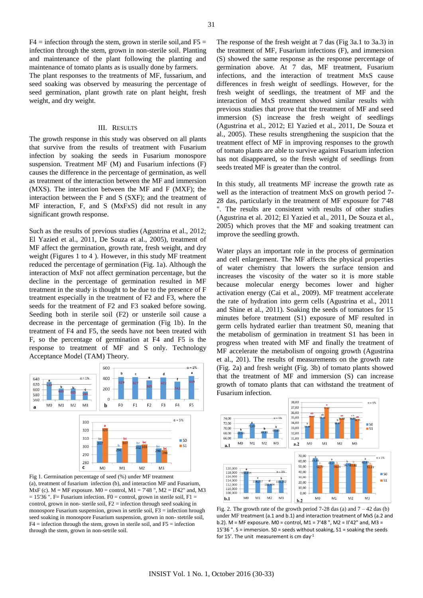The plant responses to the treatments of MF, fussarium, and seed soaking was observed by measuring the percentage of seed germination, plant growth rate on plant height, fresh weight, and dry weight.

# III. RESULTS

The growth response in this study was observed on all plants that survive from the results of treatment with Fusarium infection by soaking the seeds in Fusarium monospore suspension. Treatment MF (M) and Fusarium infections (F) causes the difference in the percentage of germination, as well as treatment of the interaction between the MF and immersion (MXS). The interaction between the MF and F (MXF); the interaction between the F and S (SXF); and the treatment of MF interaction, F, and S (MxFxS) did not result in any significant growth response.

Such as the results of previous studies (Agustrina et al., 2012; El Yazied et al., 2011, De Souza et al., 2005), treatment of MF affect the germination, growth rate, fresh weight, and dry weight (Figures 1 to 4 ). However, in this study MF treatment reduced the percentage of germination (Fig. 1a). Although the interaction of MxF not affect germination percentage, but the decline in the percentage of germination resulted in MF treatment in the study is thought to be due to the presence of F treatment especially in the treatment of F2 and F3, where the seeds for the treatment of F2 and F3 soaked before sowing. Seeding both in sterile soil (F2) or unsterile soil cause a decrease in the percentage of germination (Fig 1b). In the treatment of F4 and F5, the seeds have not been treated with F, so the percentage of germination at F4 and F5 is the response to treatment of MF and S only. Technology Acceptance Model (TAM) Theory.



Fig 1. Germination percentage of seed (%) under MF treatment (a), treatment of fusarium infection (b), and interaction MF and Fusarium, MxF (c).  $M = MF$  exposure.  $M0 =$  control,  $M1 = 7'48''$ ,  $M2 = II'42''$  and, M3  $= 15'36$  ". F= Fusarium infection. F0 = control, grown in sterile soil, F1 = control, grown in non- sterile soil, F2 = infection through seed soaking in monospore Fusarium suspension, grown in setrile soil,  $F3$  = infection hrough seed soaking in monospore Fusarium suspension, grown in non- stetrile soil,  $F4$  = infection through the stem, grown in sterile soil, and  $F5$  = infection through the stem, grown in non-setrile soil.

The response of the fresh weight at 7 das (Fig 3a.1 to 3a.3) in the treatment of MF, Fusarium infections (F), and immersion (S) showed the same response as the response percentage of germination above. At 7 das, MF treatment, Fusarium infections, and the interaction of treatment MxS cause differences in fresh weight of seedlings. However, for the fresh weight of seedlings, the treatment of MF and the interaction of MxS treatment showed similar results with previous studies that prove that the treatment of MF and seed immersion (S) increase the fresh weight of seedlings (Agustrina et al., 2012; El Yazied et al., 2011, De Souza et al., 2005). These results strengthening the suspicion that the treatment effect of MF in improving responses to the growth of tomato plants are able to survive against Fusarium infection has not disappeared, so the fresh weight of seedlings from seeds treated MF is greater than the control.

In this study, all treatments MF increase the growth rate as well as the interaction of treatment MxS on growth period 7- 28 das, particularly in the treatment of MF exposure for 7'48 ". The results are consistent with results of other studies (Agustrina et al. 2012; El Yazied et al., 2011, De Souza et al., 2005) which proves that the MF and soaking treatment can improve the seedling growth.

Water plays an important role in the process of germination and cell enlargement. The MF affects the physical properties of water chemistry that lowers the surface tension and increases the viscosity of the water so it is more stable because molecular energy becomes lower and higher activation energy (Cai et al., 2009). MF treatment accelerate the rate of hydration into germ cells (Agustrina et al., 2011 and Shine et al., 2011). Soaking the seeds of tomatoes for 15 minutes before treatment (S1) exposure of MF resulted in germ cells hydrated earlier than treatment S0, meaning that the metabolism of germination in treatment S1 has been in progress when treated with MF and finally the treatment of MF accelerate the metabolism of ongoing growth (Agustrina et al., 201). The results of measurements on the growth rate (Fig. 2a) and fresh weight (Fig. 3b) of tomato plants showed that the treatment of MF and immersion (S) can increase growth of tomato plants that can withstand the treatment of Fusarium infection.



Fig. 2. The growth rate of the growth period  $7-28$  das (a) and  $7-42$  das (b) under MF treatment (a.1 and b.1) and interaction treatment of MxS (a.2 and b.2). M = MF exposure. M0 = control, M1 = 7'48 ", M2 = II'42" and, M3 = 15'36 ". S = immersion. S0 = seeds without soaking, S1 = soaking the seeds for 15'. The unit measurement is cm day-1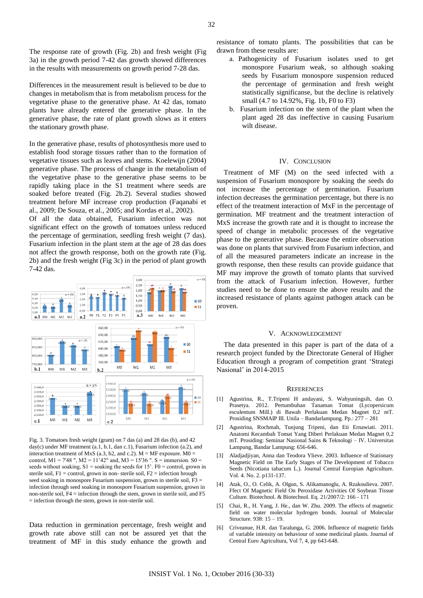The response rate of growth (Fig. 2b) and fresh weight (Fig 3a) in the growth period 7-42 das growth showed differences in the results with measurements on growth period 7-28 das.

Differences in the measurement result is believed to be due to changes in metabolism that is from metabolism process for the vegetative phase to the generative phase. At 42 das, tomato plants have already entered the generative phase. In the generative phase, the rate of plant growth slows as it enters the stationary growth phase.

In the generative phase, results of photosynthesis more used to establish food storage tissues rather than to the formation of vegetative tissues such as leaves and stems. Koelewijn (2004) generative phase. The process of change in the metabolism of the vegetative phase to the generative phase seems to be rapidly taking place in the S1 treatment where seeds are soaked before treated (Fig. 2b.2). Several studies showed treatment before MF increase crop production (Faqanabi et al., 2009; De Souza, et al., 2005; and Kordas et al., 2002).

Of all the data obtained, Fusarium infection was not significant effect on the growth of tomatoes unless reduced the percentage of germination, seedling fresh weight (7 das). Fusarium infection in the plant stem at the age of 28 das does not affect the growth response, both on the growth rate (Fig. 2b) and the fresh weight (Fig 3c) in the period of plant growth 7-42 das.



Fig. 3. Tomatoes fresh weight (gram) on 7 das (a) and 28 das (b), and 42 day(c) under MF treatment (a.1, b.1, dan c.1), Fusarium infection (a.2), and interaction treatment of MxS (a.3, b2, and c.2).  $M = MF$  exposure.  $M0 =$ control, M1 = 7'48 ", M2 = 11'42" and, M3 = 15'36 ". S = immersion. S0 = seeds without soaking,  $S1$  = soaking the seeds for 15'. F0 = control, grown in sterile soil,  $F1$  = control, grown in non-sterile soil,  $F2$  = infection hrough seed soaking in monospore Fusarium suspension, grown in sterile soil, F3 = infection through seed soaking in monospore Fusarium suspension, grown in non-sterile soil, F4 = infection through the stem, grown in sterile soil, and F5 = infection through the stem, grown in non-sterile soil.

Data reduction in germination percentage, fresh weight and growth rate above still can not be assured yet that the treatment of MF in this study enhance the growth and resistance of tomato plants. The possibilities that can be drawn from these results are:

- a. Pathogenicity of Fusarium isolates used to get monospore Fusarium weak, so although soaking seeds by Fusarium monospore suspension reduced the percentage of germination and fresh weight statistically significanse, but the decline is relatively small (4.7 to 14.92%, Fig. 1b, F0 to F3)
- b. Fusarium infection on the stem of the plant when the plant aged 28 das ineffective in causing Fusarium wilt disease.

## IV. CONCLUSION

Treatment of MF (M) on the seed infected with a suspension of Fusarium monospore by soaking the seeds do not increase the percentage of germination. Fusarium infection decreases the germination percentage, but there is no effect of the treatment interaction of MxF in the percentage of germination. MF treatment and the treatment interaction of MxS increase the growth rate and it is thought to increase the speed of change in metabolic processes of the vegetative phase to the generative phase. Because the entire observation was done on plants that survived from Fusarium infection, and of all the measured parameters indicate an increase in the growth response, then these results can provide guidance that MF may improve the growth of tomato plants that survived from the attack of Fusarium infection. However, further studies need to be done to ensure the above results and the increased resistance of plants against pathogen attack can be proven.

### V. ACKNOWLEDGEMENT

The data presented in this paper is part of the data of a research project funded by the Directorate General of Higher Education through a program of competition grant 'Strategi Nasional' in 2014-2015

#### **REFERENCES**

- [1] Agustrina, R., T.Tripeni H andayani, S. Wahyuningsih, dan O. Prasetya. 2012. Pertumbuhan Tanaman Tomat (Lycopersicum esculentum Mill.) di Bawah Perlakuan Medan Magnet 0,2 mT. Prosiding SNSMAIP III. Unila – Bandarlampung. Pp.: 277 – 281
- [2] Agustrina, Rochmah, Tunjung Tripeni, dan Eti Ernawiati. 2011. Anatomi Kecambah Tomat Yang Diberi Perlakuan Medan Magnet 0,2 mT. Prosiding: Seminar Nasional Sains & Teknologi – IV. Universitas Lampung, Bandar Lampung: 656-646.
- [3] Aladjadjiyan, Anna dan Teodora Ylieve. 2003. Influence of Stationary Magnetic Field on The Early Stages of The Development of Tobacco Seeds (Nicotiana tabacum L.). Journal Central Europian Agriculture. Vol. 4. No. 2. p131-137.
- [4] Atak, O., O. Celik, A. Olgun, S. Alikamanoglu, A. Rzakoulieva. 2007. Ffect Of Magnetic Field On Peroxidase Activities Of Soybean Tissue Culture. Biotechnol. & Biotechnol. Eq. 21/2007/2: 166 - 171
- [5] Chai, R., H. Yang, J. He., dan W. Zhu. 2009. The effects of magnetic field on water molecular hydrogen bonds. Journal of Molecular Structure.  $938 \cdot 15 = 19$ .
- [6] Criveanue, H.R. dan Taralunga, G. 2006. Influence of magnetic fields of variable intensity on behaviour of some medicinal plants. Journal of Central Euro Agricultura, Vol 7, 4, pp 643-648.